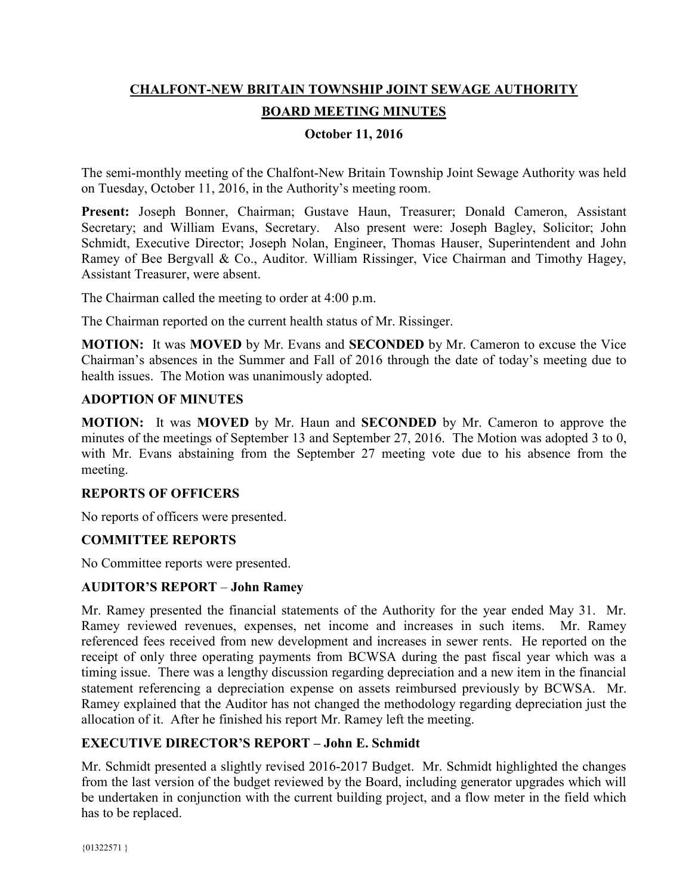# **CHALFONT-NEW BRITAIN TOWNSHIP JOINT SEWAGE AUTHORITY BOARD MEETING MINUTES**

## **October 11, 2016**

The semi-monthly meeting of the Chalfont-New Britain Township Joint Sewage Authority was held on Tuesday, October 11, 2016, in the Authority's meeting room.

**Present:** Joseph Bonner, Chairman; Gustave Haun, Treasurer; Donald Cameron, Assistant Secretary; and William Evans, Secretary. Also present were: Joseph Bagley, Solicitor; John Schmidt, Executive Director; Joseph Nolan, Engineer, Thomas Hauser, Superintendent and John Ramey of Bee Bergvall & Co., Auditor. William Rissinger, Vice Chairman and Timothy Hagey, Assistant Treasurer, were absent.

The Chairman called the meeting to order at 4:00 p.m.

The Chairman reported on the current health status of Mr. Rissinger.

**MOTION:** It was **MOVED** by Mr. Evans and **SECONDED** by Mr. Cameron to excuse the Vice Chairman's absences in the Summer and Fall of 2016 through the date of today's meeting due to health issues. The Motion was unanimously adopted.

#### **ADOPTION OF MINUTES**

**MOTION:** It was **MOVED** by Mr. Haun and **SECONDED** by Mr. Cameron to approve the minutes of the meetings of September 13 and September 27, 2016. The Motion was adopted 3 to 0, with Mr. Evans abstaining from the September 27 meeting vote due to his absence from the meeting.

#### **REPORTS OF OFFICERS**

No reports of officers were presented.

#### **COMMITTEE REPORTS**

No Committee reports were presented.

#### **AUDITOR'S REPORT** – **John Ramey**

Mr. Ramey presented the financial statements of the Authority for the year ended May 31. Mr. Ramey reviewed revenues, expenses, net income and increases in such items. Mr. Ramey referenced fees received from new development and increases in sewer rents. He reported on the receipt of only three operating payments from BCWSA during the past fiscal year which was a timing issue. There was a lengthy discussion regarding depreciation and a new item in the financial statement referencing a depreciation expense on assets reimbursed previously by BCWSA. Mr. Ramey explained that the Auditor has not changed the methodology regarding depreciation just the allocation of it. After he finished his report Mr. Ramey left the meeting.

## **EXECUTIVE DIRECTOR'S REPORT – John E. Schmidt**

Mr. Schmidt presented a slightly revised 2016-2017 Budget. Mr. Schmidt highlighted the changes from the last version of the budget reviewed by the Board, including generator upgrades which will be undertaken in conjunction with the current building project, and a flow meter in the field which has to be replaced.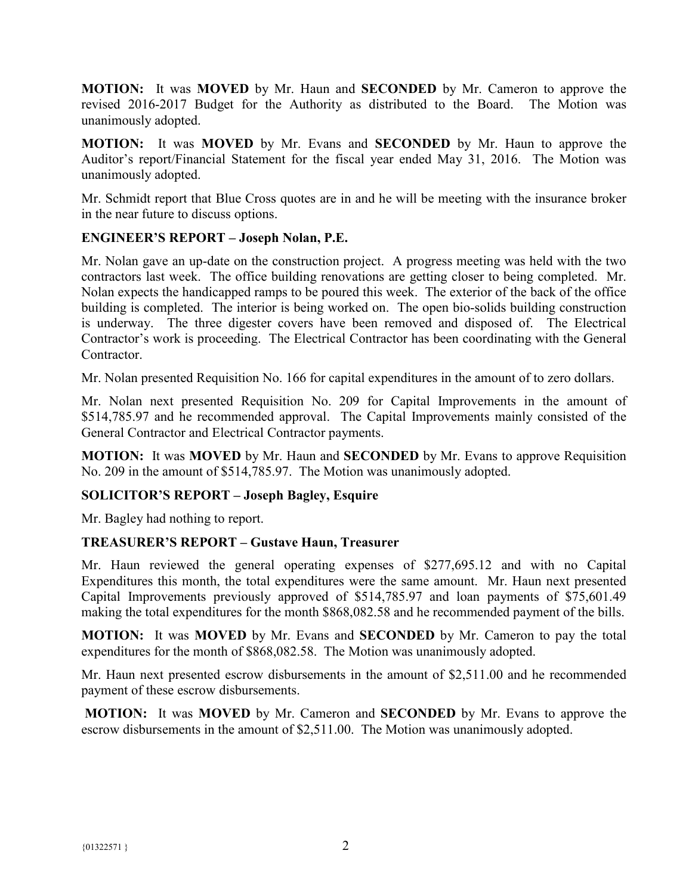**MOTION:** It was **MOVED** by Mr. Haun and **SECONDED** by Mr. Cameron to approve the revised 2016-2017 Budget for the Authority as distributed to the Board. The Motion was unanimously adopted.

**MOTION:** It was **MOVED** by Mr. Evans and **SECONDED** by Mr. Haun to approve the Auditor's report/Financial Statement for the fiscal year ended May 31, 2016. The Motion was unanimously adopted.

Mr. Schmidt report that Blue Cross quotes are in and he will be meeting with the insurance broker in the near future to discuss options.

## **ENGINEER'S REPORT – Joseph Nolan, P.E.**

Mr. Nolan gave an up-date on the construction project. A progress meeting was held with the two contractors last week. The office building renovations are getting closer to being completed. Mr. Nolan expects the handicapped ramps to be poured this week. The exterior of the back of the office building is completed. The interior is being worked on. The open bio-solids building construction is underway. The three digester covers have been removed and disposed of. The Electrical Contractor's work is proceeding. The Electrical Contractor has been coordinating with the General **Contractor** 

Mr. Nolan presented Requisition No. 166 for capital expenditures in the amount of to zero dollars.

Mr. Nolan next presented Requisition No. 209 for Capital Improvements in the amount of \$514,785.97 and he recommended approval. The Capital Improvements mainly consisted of the General Contractor and Electrical Contractor payments.

**MOTION:** It was **MOVED** by Mr. Haun and **SECONDED** by Mr. Evans to approve Requisition No. 209 in the amount of \$514,785.97. The Motion was unanimously adopted.

## **SOLICITOR'S REPORT – Joseph Bagley, Esquire**

Mr. Bagley had nothing to report.

## **TREASURER'S REPORT – Gustave Haun, Treasurer**

Mr. Haun reviewed the general operating expenses of \$277,695.12 and with no Capital Expenditures this month, the total expenditures were the same amount. Mr. Haun next presented Capital Improvements previously approved of \$514,785.97 and loan payments of \$75,601.49 making the total expenditures for the month \$868,082.58 and he recommended payment of the bills.

**MOTION:** It was **MOVED** by Mr. Evans and **SECONDED** by Mr. Cameron to pay the total expenditures for the month of \$868,082.58. The Motion was unanimously adopted.

Mr. Haun next presented escrow disbursements in the amount of \$2,511.00 and he recommended payment of these escrow disbursements.

**MOTION:** It was **MOVED** by Mr. Cameron and **SECONDED** by Mr. Evans to approve the escrow disbursements in the amount of \$2,511.00. The Motion was unanimously adopted.